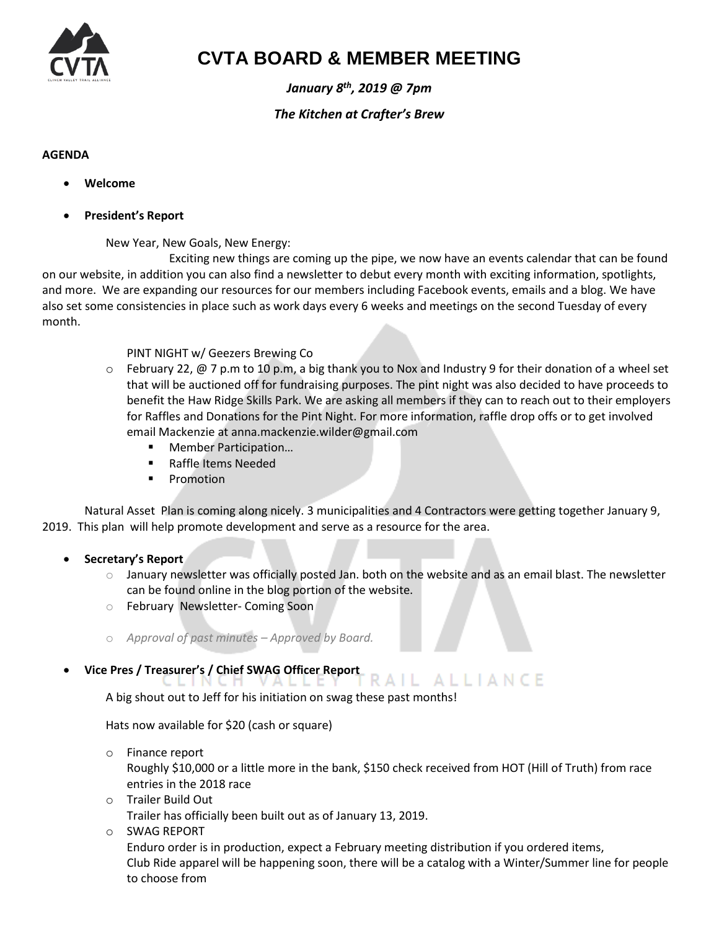

# **CVTA BOARD & MEMBER MEETING**

*January 8th, 2019 @ 7pm*

# *The Kitchen at Crafter's Brew*

### **AGENDA**

- **Welcome**
- **President's Report**

### New Year, New Goals, New Energy:

Exciting new things are coming up the pipe, we now have an events calendar that can be found on our website, in addition you can also find a newsletter to debut every month with exciting information, spotlights, and more. We are expanding our resources for our members including Facebook events, emails and a blog. We have also set some consistencies in place such as work days every 6 weeks and meetings on the second Tuesday of every month.

PINT NIGHT w/ Geezers Brewing Co

- $\circ$  February 22, @ 7 p.m to 10 p.m, a big thank you to Nox and Industry 9 for their donation of a wheel set that will be auctioned off for fundraising purposes. The pint night was also decided to have proceeds to benefit the Haw Ridge Skills Park. We are asking all members if they can to reach out to their employers for Raffles and Donations for the Pint Night. For more information, raffle drop offs or to get involved email Mackenzie at anna.mackenzie.wilder@gmail.com
	- Member Participation...
	- Raffle Items Needed
	- Promotion

Natural Asset Plan is coming along nicely. 3 municipalities and 4 Contractors were getting together January 9, 2019. This plan will help promote development and serve as a resource for the area.

#### • **Secretary's Report**

- o January newsletter was officially posted Jan. both on the website and as an email blast. The newsletter can be found online in the blog portion of the website.
- o February Newsletter- Coming Soon
- o *Approval of past minutes – Approved by Board.*
- **Vice Pres / Treasurer's / Chief SWAG Officer Report**

A big shout out to Jeff for his initiation on swag these past months!

Hats now available for \$20 (cash or square)

o Finance report

Roughly \$10,000 or a little more in the bank, \$150 check received from HOT (Hill of Truth) from race entries in the 2018 race

RAIL ALLIANCE

o Trailer Build Out

Trailer has officially been built out as of January 13, 2019.

o SWAG REPORT

Enduro order is in production, expect a February meeting distribution if you ordered items, Club Ride apparel will be happening soon, there will be a catalog with a Winter/Summer line for people to choose from